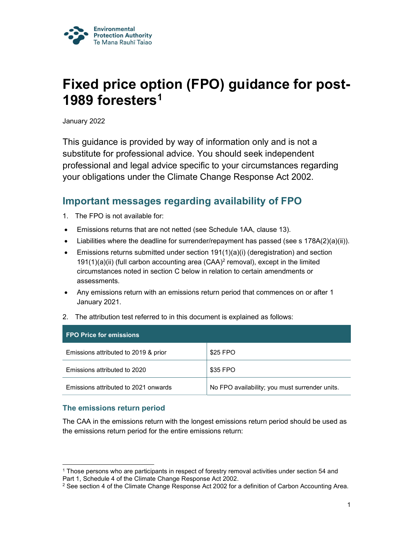

# Fixed price option (FPO) guidance for post-1989 foresters<sup>1</sup>

January 2022

This guidance is provided by way of information only and is not a substitute for professional advice. You should seek independent professional and legal advice specific to your circumstances regarding your obligations under the Climate Change Response Act 2002.

# Important messages regarding availability of FPO

- 1. The FPO is not available for:
- Emissions returns that are not netted (see Schedule 1AA, clause 13).
- $\bullet$  Liabilities where the deadline for surrender/repayment has passed (see s 178A(2)(a)(ii)).
- Emissions returns submitted under section 191(1)(a)(i) (deregistration) and section 191(1)(a)(ii) (full carbon accounting area (CAA)<sup>2</sup> removal), except in the limited circumstances noted in section C below in relation to certain amendments or assessments.
- Any emissions return with an emissions return period that commences on or after 1 January 2021.
- 2. The attribution test referred to in this document is explained as follows:

| <b>FPO Price for emissions</b>       |                                                |
|--------------------------------------|------------------------------------------------|
| Emissions attributed to 2019 & prior | \$25 FPO                                       |
| Emissions attributed to 2020         | \$35 FPO                                       |
| Emissions attributed to 2021 onwards | No FPO availability; you must surrender units. |

### The emissions return period

The CAA in the emissions return with the longest emissions return period should be used as the emissions return period for the entire emissions return:

<sup>1</sup> Those persons who are participants in respect of forestry removal activities under section 54 and Part 1, Schedule 4 of the Climate Change Response Act 2002.

 $^2$  See section 4 of the Climate Change Response Act 2002 for a definition of Carbon Accounting Area.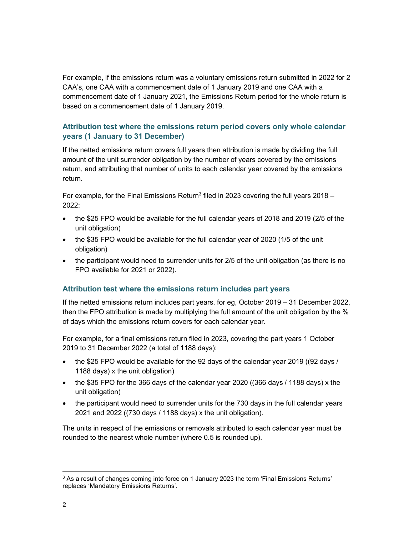For example, if the emissions return was a voluntary emissions return submitted in 2022 for 2 CAA's, one CAA with a commencement date of 1 January 2019 and one CAA with a commencement date of 1 January 2021, the Emissions Return period for the whole return is based on a commencement date of 1 January 2019.

## Attribution test where the emissions return period covers only whole calendar years (1 January to 31 December)

If the netted emissions return covers full years then attribution is made by dividing the full amount of the unit surrender obligation by the number of years covered by the emissions return, and attributing that number of units to each calendar year covered by the emissions return.

For example, for the Final Emissions Return<sup>3</sup> filed in 2023 covering the full years 2018 – 2022:

- the \$25 FPO would be available for the full calendar years of 2018 and 2019 (2/5 of the unit obligation)
- the \$35 FPO would be available for the full calendar year of 2020 (1/5 of the unit obligation)
- the participant would need to surrender units for 2/5 of the unit obligation (as there is no FPO available for 2021 or 2022).

#### Attribution test where the emissions return includes part years

If the netted emissions return includes part years, for eg, October 2019 – 31 December 2022, then the FPO attribution is made by multiplying the full amount of the unit obligation by the % of days which the emissions return covers for each calendar year.

For example, for a final emissions return filed in 2023, covering the part years 1 October 2019 to 31 December 2022 (a total of 1188 days):

- the \$25 FPO would be available for the 92 days of the calendar year 2019 ((92 days / 1188 days) x the unit obligation)
- the \$35 FPO for the 366 days of the calendar year 2020 ((366 days / 1188 days) x the unit obligation)
- the participant would need to surrender units for the 730 days in the full calendar years 2021 and 2022 ((730 days / 1188 days) x the unit obligation).

The units in respect of the emissions or removals attributed to each calendar year must be rounded to the nearest whole number (where 0.5 is rounded up).

 $^3$  As a result of changes coming into force on 1 January 2023 the term 'Final Emissions Returns' replaces 'Mandatory Emissions Returns'.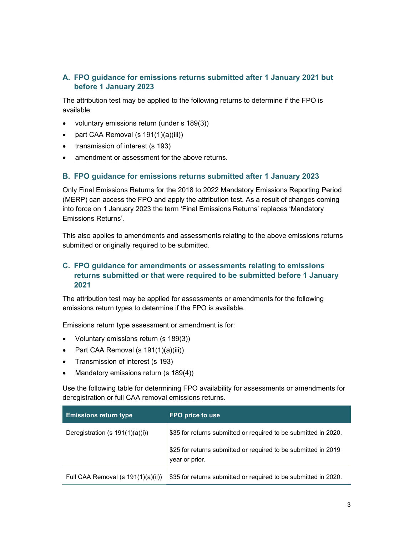# A. FPO guidance for emissions returns submitted after 1 January 2021 but before 1 January 2023

The attribution test may be applied to the following returns to determine if the FPO is available:

- voluntary emissions return (under s 189(3))
- part CAA Removal (s  $191(1)(a)(iii)$ )
- transmission of interest (s 193)
- amendment or assessment for the above returns.

#### B. FPO guidance for emissions returns submitted after 1 January 2023

Only Final Emissions Returns for the 2018 to 2022 Mandatory Emissions Reporting Period (MERP) can access the FPO and apply the attribution test. As a result of changes coming into force on 1 January 2023 the term 'Final Emissions Returns' replaces 'Mandatory Emissions Returns'.

This also applies to amendments and assessments relating to the above emissions returns submitted or originally required to be submitted.

# C. FPO guidance for amendments or assessments relating to emissions returns submitted or that were required to be submitted before 1 January 2021

The attribution test may be applied for assessments or amendments for the following emissions return types to determine if the FPO is available.

Emissions return type assessment or amendment is for:

- Voluntary emissions return (s 189(3))
- Part CAA Removal (s  $191(1)(a)(iii)$ )
- Transmission of interest (s 193)
- Mandatory emissions return (s 189(4))

Use the following table for determining FPO availability for assessments or amendments for deregistration or full CAA removal emissions returns.

| <b>Emissions return type</b>       | FPO price to use                                                                 |
|------------------------------------|----------------------------------------------------------------------------------|
| Deregistration (s 191(1)(a)(i))    | \$35 for returns submitted or required to be submitted in 2020.                  |
|                                    | \$25 for returns submitted or required to be submitted in 2019<br>year or prior. |
| Full CAA Removal (s 191(1)(a)(ii)) | \$35 for returns submitted or required to be submitted in 2020.                  |